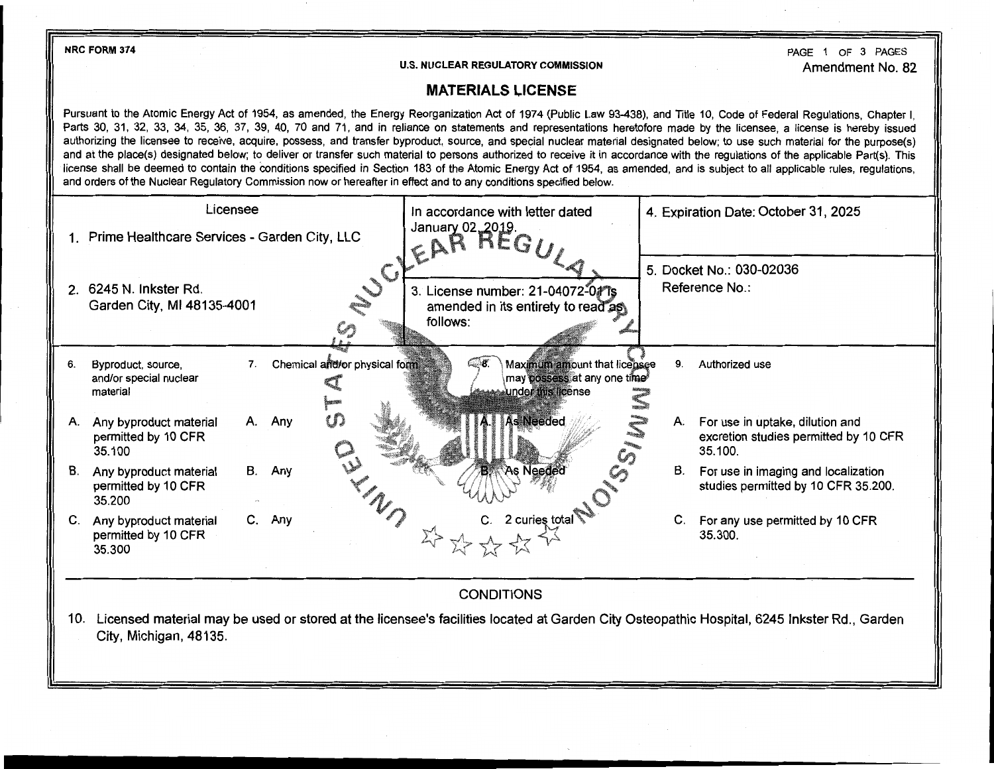**NRC FORM 374**  PAGE 1 OF 3 PAGES **U.S. NUCLEAR REGULATORY COMMISSION**  Amendment No. 82 **MATERIALS LICENSE**  Pursuant to the Atomic Energy Act of 1954, as amended, the Energy Reorganization Act of 1974 (Public Law 93-438), and Title 10, Code of Federal Regulations, Chapter I, Parts 30, 31, 32, 33, 34, 35, 36, 37, 39, 40, 70 and 71, and in reliance on statements and representations heretofore made by the licensee, a license is hereby issued authorizing the licensee to receive, acquire, possess, and transfer byproduct, source, and special nuclear material designated below; to use such material for the purpose(s) and at the place(s) designated below; to deliver or transfer such material to persons authorized to receive it in accordance with the regulations of the applicable Part{s). This license shall be deemed to contain the conditions specified in Section 183 of the Atomic Energy Act of 1954, as amended, and is subject to all applicable rules, regulations, and orders of the Nuclear Regulatory Commission now or hereafter in effect and to any conditions specified below. Licensee **In accordance with letter dated In accordance with letter dated 1. Expiration Date: October 31, 2025**  $\epsilon$ **AR**  $^{12019}$ 1. Prime Healthcare Services - Garden City, LLC  $\sim$  5. Docket No.: 030-02036 Reference No.: 2. 6245 N. Inkster Rd. 3. License number: 21-04072-011s Garden City, Ml 48135-4001 amended in its entirety to read as follows:  $\mathcal{C}$ 6. Byproduct, source, T. Chemical and for physical form **1996.** Maximum amount that license 9. Authorized use may possess at any one time and/or special nuclear under this license material A. Any byproduct material A. Any  $\Box$  A. For use in uptake, dilution and permitted by 10 CFR **excretion studies permitted by 10 CFR** excretion studies permitted by 10 CFR 35.100 35.100. B. Any byproduct material B. Any 8. **B.** 8. For use in imaging and localization permitted by 10 CFR studies permitted by 10 CFR 35.200. 35.200 C. Any byproduct material C. Any **C. Any C. 2** curies total C. For any use permitted by 10 CFR permitted by 10 CFR 35.300.<br>35.300.<br>35.300 35.300 **CONDITIONS** 10. Licensed material may be used or stored at the licensee's facilities located at Garden City Osteopathic Hospital, 6245 Inkster Rd., Garden City, Michigan, 48135.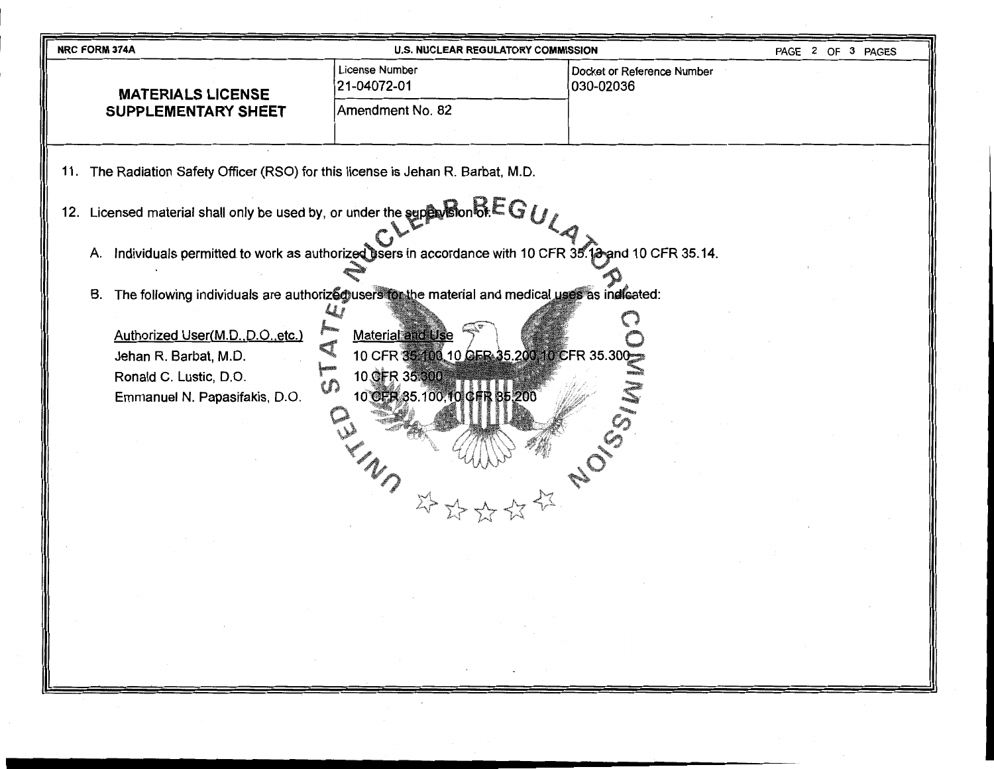| <b>U.S. NUCLEAR REGULATORY COMMISSION</b><br>PAGE 2 OF 3 PAGES<br><b>NRC FORM 374A</b>                                                                                                                                                                                                                                                                                          |                               |                                         |  |  |  |
|---------------------------------------------------------------------------------------------------------------------------------------------------------------------------------------------------------------------------------------------------------------------------------------------------------------------------------------------------------------------------------|-------------------------------|-----------------------------------------|--|--|--|
| <b>MATERIALS LICENSE</b>                                                                                                                                                                                                                                                                                                                                                        | License Number<br>21-04072-01 | Docket or Reference Number<br>030-02036 |  |  |  |
| SUPPLEMENTARY SHEET                                                                                                                                                                                                                                                                                                                                                             | Amendment No. 82              |                                         |  |  |  |
| 11. The Radiation Safety Officer (RSO) for this license is Jehan R. Barbat, M.D.<br>12. Licensed material shall only be used by, or under the supervision $\delta E G / \gamma$                                                                                                                                                                                                 |                               |                                         |  |  |  |
| A. Individuals permitted to work as authorized users in accordance with 10 CFR 35.13 and 10 CFR 35.14.                                                                                                                                                                                                                                                                          |                               |                                         |  |  |  |
| B. The following individuals are authorized users for the material and medical uses as indicated:<br>Authorized User(M.D., D.O., etc.)<br><b>Material and Use</b><br>10 CFR 35 100, 10 CFR 35.200, 10 CFR 35.300<br>Jehan R. Barbat, M.D.<br>10 GFR 35.300<br>Ronald C. Lustic, D.O.<br>w<br>10 CER 35.100, 10 CHR 85.200<br>Emmanuel N. Papasifakis, D.O.<br>OU MUN MAN<br>举路。 |                               |                                         |  |  |  |
|                                                                                                                                                                                                                                                                                                                                                                                 |                               |                                         |  |  |  |